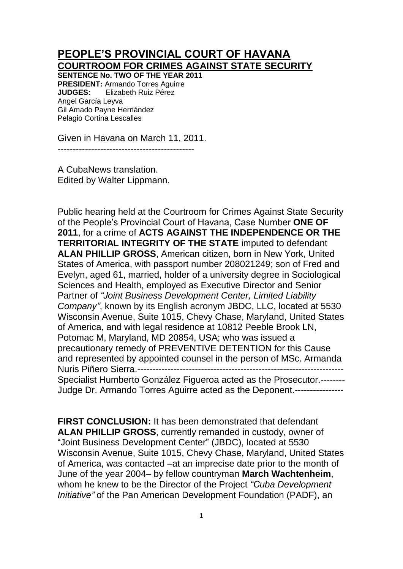## **PEOPLE'S PROVINCIAL COURT OF HAVANA COURTROOM FOR CRIMES AGAINST STATE SECURITY**

**SENTENCE No. TWO OF THE YEAR 2011 PRESIDENT:** Armando Torres Aguirre **JUDGES:** Elizabeth Ruiz Pérez Angel García Leyva Gil Amado Payne Hernández Pelagio Cortina Lescalles

Given in Havana on March 11, 2011.

---------------------------------------------

A CubaNews translation. Edited by Walter Lippmann.

Public hearing held at the Courtroom for Crimes Against State Security of the People's Provincial Court of Havana, Case Number **ONE OF 2011**, for a crime of **ACTS AGAINST THE INDEPENDENCE OR THE TERRITORIAL INTEGRITY OF THE STATE** imputed to defendant **ALAN PHILLIP GROSS**, American citizen, born in New York, United States of America, with passport number 208021249; son of Fred and Evelyn, aged 61, married, holder of a university degree in Sociological Sciences and Health, employed as Executive Director and Senior Partner of *"Joint Business Development Center, Limited Liability Company"*, known by its English acronym JBDC, LLC, located at 5530 Wisconsin Avenue, Suite 1015, Chevy Chase, Maryland, United States of America, and with legal residence at 10812 Peeble Brook LN, Potomac M, Maryland, MD 20854, USA; who was issued a precautionary remedy of PREVENTIVE DETENTION for this Cause and represented by appointed counsel in the person of MSc. Armanda Nuris Piñero Sierra.-------------------------------------------------------------------- Specialist Humberto González Figueroa acted as the Prosecutor.-------- Judge Dr. Armando Torres Aguirre acted as the Deponent.----------------

**FIRST CONCLUSION:** It has been demonstrated that defendant **ALAN PHILLIP GROSS**, currently remanded in custody, owner of "Joint Business Development Center" (JBDC), located at 5530 Wisconsin Avenue, Suite 1015, Chevy Chase, Maryland, United States of America, was contacted –at an imprecise date prior to the month of June of the year 2004– by fellow countryman **March Wachtenheim**, whom he knew to be the Director of the Project *"Cuba Development Initiative"* of the Pan American Development Foundation (PADF), an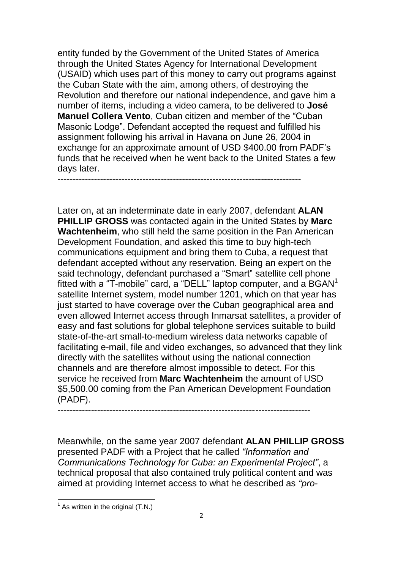entity funded by the Government of the United States of America through the United States Agency for International Development (USAID) which uses part of this money to carry out programs against the Cuban State with the aim, among others, of destroying the Revolution and therefore our national independence, and gave him a number of items, including a video camera, to be delivered to **José Manuel Collera Vento**, Cuban citizen and member of the "Cuban Masonic Lodge". Defendant accepted the request and fulfilled his assignment following his arrival in Havana on June 26, 2004 in exchange for an approximate amount of USD \$400.00 from PADF's funds that he received when he went back to the United States a few days later.

--------------------------------------------------------------------------------

Later on, at an indeterminate date in early 2007, defendant **ALAN PHILLIP GROSS** was contacted again in the United States by **Marc Wachtenheim**, who still held the same position in the Pan American Development Foundation, and asked this time to buy high-tech communications equipment and bring them to Cuba, a request that defendant accepted without any reservation. Being an expert on the said technology, defendant purchased a "Smart" satellite cell phone fitted with a "T-mobile" card, a "DELL" laptop computer, and a  $\text{BGAN}^1$ satellite Internet system, model number 1201, which on that year has just started to have coverage over the Cuban geographical area and even allowed Internet access through Inmarsat satellites, a provider of easy and fast solutions for global telephone services suitable to build state-of-the-art small-to-medium wireless data networks capable of facilitating e-mail, file and video exchanges, so advanced that they link directly with the satellites without using the national connection channels and are therefore almost impossible to detect. For this service he received from **Marc Wachtenheim** the amount of USD \$5,500.00 coming from the Pan American Development Foundation (PADF).

-----------------------------------------------------------------------------------

Meanwhile, on the same year 2007 defendant **ALAN PHILLIP GROSS**  presented PADF with a Project that he called *"Information and Communications Technology for Cuba: an Experimental Project"*, a technical proposal that also contained truly political content and was aimed at providing Internet access to what he described as *"pro-*

 $\overline{\phantom{a}}$ 

 $1$  As written in the original (T.N.)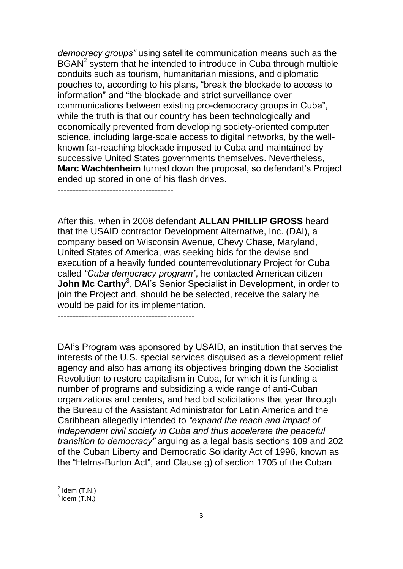*democracy groups"* using satellite communication means such as the BGAN<sup>2</sup> system that he intended to introduce in Cuba through multiple conduits such as tourism, humanitarian missions, and diplomatic pouches to, according to his plans, "break the blockade to access to information" and "the blockade and strict surveillance over communications between existing pro-democracy groups in Cuba", while the truth is that our country has been technologically and economically prevented from developing society-oriented computer science, including large-scale access to digital networks, by the wellknown far-reaching blockade imposed to Cuba and maintained by successive United States governments themselves. Nevertheless, **Marc Wachtenheim** turned down the proposal, so defendant's Project ended up stored in one of his flash drives.

After this, when in 2008 defendant **ALLAN PHILLIP GROSS** heard that the USAID contractor Development Alternative, Inc. (DAI), a company based on Wisconsin Avenue, Chevy Chase, Maryland, United States of America, was seeking bids for the devise and execution of a heavily funded counterrevolutionary Project for Cuba called *"Cuba democracy program"*, he contacted American citizen **John Mc Carthy<sup>3</sup>, DAI's Senior Specialist in Development, in order to** join the Project and, should he be selected, receive the salary he would be paid for its implementation.

---------------------------------------------

DAI's Program was sponsored by USAID, an institution that serves the interests of the U.S. special services disguised as a development relief agency and also has among its objectives bringing down the Socialist Revolution to restore capitalism in Cuba, for which it is funding a number of programs and subsidizing a wide range of anti-Cuban organizations and centers, and had bid solicitations that year through the Bureau of the Assistant Administrator for Latin America and the Caribbean allegedly intended to *"expand the reach and impact of independent civil society in Cuba and thus accelerate the peaceful transition to democracy"* arguing as a legal basis sections 109 and 202 of the Cuban Liberty and Democratic Solidarity Act of 1996, known as the "Helms-Burton Act", and Clause g) of section 1705 of the Cuban

 $2$  Idem (T.N.)

 $3$  Idem  $(T.N.)$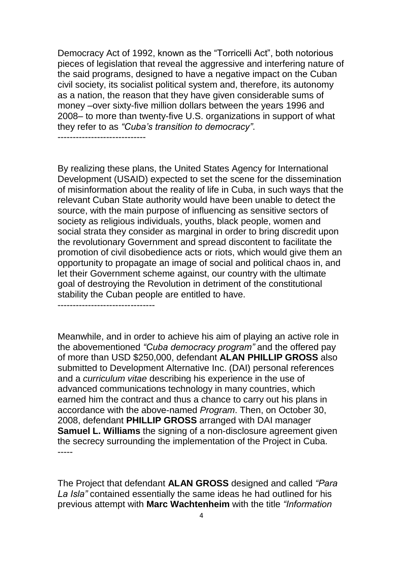Democracy Act of 1992, known as the "Torricelli Act", both notorious pieces of legislation that reveal the aggressive and interfering nature of the said programs, designed to have a negative impact on the Cuban civil society, its socialist political system and, therefore, its autonomy as a nation, the reason that they have given considerable sums of money –over sixty-five million dollars between the years 1996 and 2008– to more than twenty-five U.S. organizations in support of what they refer to as *"Cuba's transition to democracy"*.

-----------------------------

By realizing these plans, the United States Agency for International Development (USAID) expected to set the scene for the dissemination of misinformation about the reality of life in Cuba, in such ways that the relevant Cuban State authority would have been unable to detect the source, with the main purpose of influencing as sensitive sectors of society as religious individuals, youths, black people, women and social strata they consider as marginal in order to bring discredit upon the revolutionary Government and spread discontent to facilitate the promotion of civil disobedience acts or riots, which would give them an opportunity to propagate an image of social and political chaos in, and let their Government scheme against, our country with the ultimate goal of destroying the Revolution in detriment of the constitutional stability the Cuban people are entitled to have.

--------------------------------

Meanwhile, and in order to achieve his aim of playing an active role in the abovementioned *"Cuba democracy program"* and the offered pay of more than USD \$250,000, defendant **ALAN PHILLIP GROSS** also submitted to Development Alternative Inc. (DAI) personal references and a *curriculum vitae* describing his experience in the use of advanced communications technology in many countries, which earned him the contract and thus a chance to carry out his plans in accordance with the above-named *Program*. Then, on October 30, 2008, defendant **PHILLIP GROSS** arranged with DAI manager **Samuel L. Williams** the signing of a non-disclosure agreement given the secrecy surrounding the implementation of the Project in Cuba. -----

The Project that defendant **ALAN GROSS** designed and called *"Para La Isla"* contained essentially the same ideas he had outlined for his previous attempt with **Marc Wachtenheim** with the title *"Information*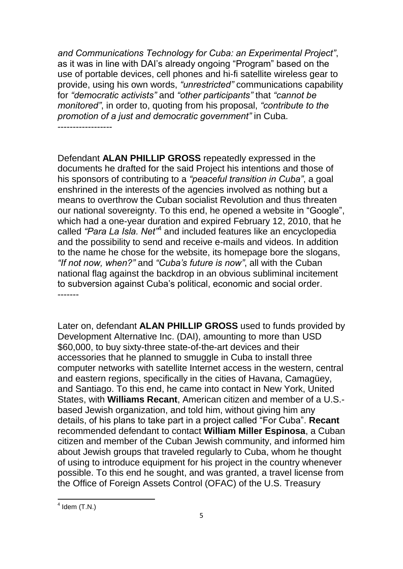*and Communications Technology for Cuba: an Experimental Project"*, as it was in line with DAI's already ongoing "Program" based on the use of portable devices, cell phones and hi-fi satellite wireless gear to provide, using his own words, *"unrestricted"* communications capability for *"democratic activists"* and *"other participants"* that *"cannot be monitored"*, in order to, quoting from his proposal, *"contribute to the promotion of a just and democratic government"* in Cuba.

------------------

Defendant **ALAN PHILLIP GROSS** repeatedly expressed in the documents he drafted for the said Project his intentions and those of his sponsors of contributing to a *"peaceful transition in Cuba"*, a goal enshrined in the interests of the agencies involved as nothing but a means to overthrow the Cuban socialist Revolution and thus threaten our national sovereignty. To this end, he opened a website in "Google", which had a one-year duration and expired February 12, 2010, that he called *"Para La Isla. Net"*<sup>4</sup> and included features like an encyclopedia and the possibility to send and receive e-mails and videos. In addition to the name he chose for the website, its homepage bore the slogans, *"If not now, when?"* and *"Cuba's future is now"*, all with the Cuban national flag against the backdrop in an obvious subliminal incitement to subversion against Cuba's political, economic and social order. -------

Later on, defendant **ALAN PHILLIP GROSS** used to funds provided by Development Alternative Inc. (DAI), amounting to more than USD \$60,000, to buy sixty-three state-of-the-art devices and their accessories that he planned to smuggle in Cuba to install three computer networks with satellite Internet access in the western, central and eastern regions, specifically in the cities of Havana, Camagüey, and Santiago. To this end, he came into contact in New York, United States, with **Williams Recant**, American citizen and member of a U.S. based Jewish organization, and told him, without giving him any details, of his plans to take part in a project called "For Cuba". **Recant** recommended defendant to contact **William Miller Espinosa**, a Cuban citizen and member of the Cuban Jewish community, and informed him about Jewish groups that traveled regularly to Cuba, whom he thought of using to introduce equipment for his project in the country whenever possible. To this end he sought, and was granted, a travel license from the Office of Foreign Assets Control (OFAC) of the U.S. Treasury

 $\frac{4 \text{ Idem (T.N.)}}{4 \text{ Idem (T.N.)}}$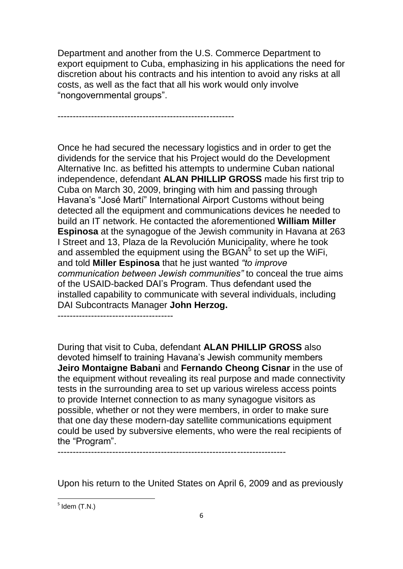Department and another from the U.S. Commerce Department to export equipment to Cuba, emphasizing in his applications the need for discretion about his contracts and his intention to avoid any risks at all costs, as well as the fact that all his work would only involve "nongovernmental groups".

----------------------------------------------------------

Once he had secured the necessary logistics and in order to get the dividends for the service that his Project would do the Development Alternative Inc. as befitted his attempts to undermine Cuban national independence, defendant **ALAN PHILLIP GROSS** made his first trip to Cuba on March 30, 2009, bringing with him and passing through Havana's "José Martí" International Airport Customs without being detected all the equipment and communications devices he needed to build an IT network. He contacted the aforementioned **William Miller Espinosa** at the synagogue of the Jewish community in Havana at 263 I Street and 13, Plaza de la Revolución Municipality, where he took and assembled the equipment using the BGAN $<sup>5</sup>$  to set up the WiFi,</sup> and told **Miller Espinosa** that he just wanted *"to improve communication between Jewish communities"* to conceal the true aims of the USAID-backed DAI's Program. Thus defendant used the installed capability to communicate with several individuals, including DAI Subcontracts Manager **John Herzog.**

--------------------------------------

During that visit to Cuba, defendant **ALAN PHILLIP GROSS** also devoted himself to training Havana's Jewish community members **Jeiro Montaigne Babani** and **Fernando Cheong Cisnar** in the use of the equipment without revealing its real purpose and made connectivity tests in the surrounding area to set up various wireless access points to provide Internet connection to as many synagogue visitors as possible, whether or not they were members, in order to make sure that one day these modern-day satellite communications equipment could be used by subversive elements, who were the real recipients of the "Program".

---------------------------------------------------------------------------

Upon his return to the United States on April 6, 2009 and as previously

 $<sup>5</sup>$  Idem (T.N.)</sup>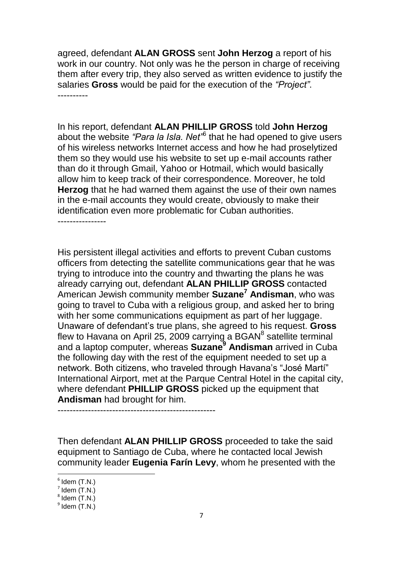agreed, defendant **ALAN GROSS** sent **John Herzog** a report of his work in our country. Not only was he the person in charge of receiving them after every trip, they also served as written evidence to justify the salaries **Gross** would be paid for the execution of the *"Project"*. ----------

In his report, defendant **ALAN PHILLIP GROSS** told **John Herzog** about the website "Para la Isla. Net<sup>"6</sup> that he had opened to give users of his wireless networks Internet access and how he had proselytized them so they would use his website to set up e-mail accounts rather than do it through Gmail, Yahoo or Hotmail, which would basically allow him to keep track of their correspondence. Moreover, he told **Herzog** that he had warned them against the use of their own names in the e-mail accounts they would create, obviously to make their identification even more problematic for Cuban authorities. ----------------

His persistent illegal activities and efforts to prevent Cuban customs officers from detecting the satellite communications gear that he was trying to introduce into the country and thwarting the plans he was already carrying out, defendant **ALAN PHILLIP GROSS** contacted American Jewish community member **Suzane<sup>7</sup> Andisman**, who was going to travel to Cuba with a religious group, and asked her to bring with her some communications equipment as part of her luggage. Unaware of defendant's true plans, she agreed to his request. **Gross** flew to Havana on April 25, 2009 carrying a BGAN $^8$  satellite terminal and a laptop computer, whereas **Suzane<sup>9</sup> Andisman** arrived in Cuba the following day with the rest of the equipment needed to set up a network. Both citizens, who traveled through Havana's "José Martí" International Airport, met at the Parque Central Hotel in the capital city, where defendant **PHILLIP GROSS** picked up the equipment that **Andisman** had brought for him.

----------------------------------------------------

Then defendant **ALAN PHILLIP GROSS** proceeded to take the said equipment to Santiago de Cuba, where he contacted local Jewish community leader **Eugenia Farín Levy**, whom he presented with the

 $6$  Idem (T.N.)

 $<sup>7</sup>$  Idem (T.N.)</sup>

 $<sup>8</sup>$  Idem  $(T.N.)$ </sup>

 $<sup>9</sup>$  Idem (T.N.)</sup>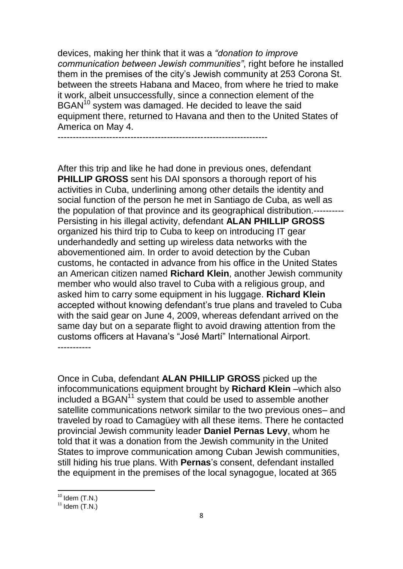devices, making her think that it was a *"donation to improve communication between Jewish communities"*, right before he installed them in the premises of the city's Jewish community at 253 Corona St. between the streets Habana and Maceo, from where he tried to make it work, albeit unsuccessfully, since a connection element of the BGAN<sup>10</sup> system was damaged. He decided to leave the said equipment there, returned to Havana and then to the United States of America on May 4.

---------------------------------------------------------------------

After this trip and like he had done in previous ones, defendant **PHILLIP GROSS** sent his DAI sponsors a thorough report of his activities in Cuba, underlining among other details the identity and social function of the person he met in Santiago de Cuba, as well as the population of that province and its geographical distribution.---------- Persisting in his illegal activity, defendant **ALAN PHILLIP GROSS**  organized his third trip to Cuba to keep on introducing IT gear underhandedly and setting up wireless data networks with the abovementioned aim. In order to avoid detection by the Cuban customs, he contacted in advance from his office in the United States an American citizen named **Richard Klein**, another Jewish community member who would also travel to Cuba with a religious group, and asked him to carry some equipment in his luggage. **Richard Klein**  accepted without knowing defendant's true plans and traveled to Cuba with the said gear on June 4, 2009, whereas defendant arrived on the same day but on a separate flight to avoid drawing attention from the customs officers at Havana's "José Martí" International Airport. -----------

Once in Cuba, defendant **ALAN PHILLIP GROSS** picked up the infocommunications equipment brought by **Richard Klein** –which also  $included$  a BGAN $<sup>11</sup>$  system that could be used to assemble another</sup> satellite communications network similar to the two previous ones– and traveled by road to Camagüey with all these items. There he contacted provincial Jewish community leader **Daniel Pernas Levy**, whom he told that it was a donation from the Jewish community in the United States to improve communication among Cuban Jewish communities, still hiding his true plans. With **Pernas**'s consent, defendant installed the equipment in the premises of the local synagogue, located at 365

 $10$  Idem (T.N.)

 $11$  Idem  $(T.N.)$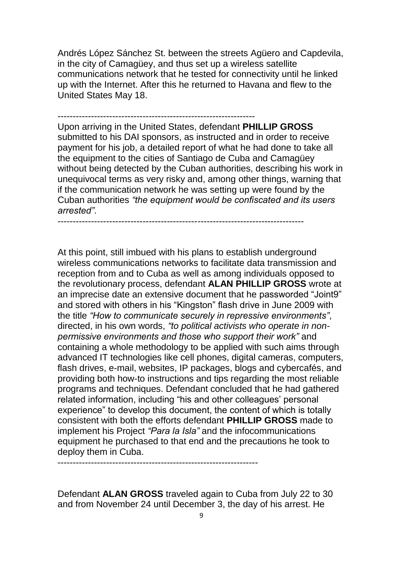Andrés López Sánchez St. between the streets Agüero and Capdevila, in the city of Camagüey, and thus set up a wireless satellite communications network that he tested for connectivity until he linked up with the Internet. After this he returned to Havana and flew to the United States May 18.

----------------------------------------------------------------- Upon arriving in the United States, defendant **PHILLIP GROSS**  submitted to his DAI sponsors, as instructed and in order to receive payment for his job, a detailed report of what he had done to take all the equipment to the cities of Santiago de Cuba and Camagüey without being detected by the Cuban authorities, describing his work in unequivocal terms as very risky and, among other things, warning that if the communication network he was setting up were found by the Cuban authorities *"the equipment would be confiscated and its users arrested"*.

---------------------------------------------------------------------------------

At this point, still imbued with his plans to establish underground wireless communications networks to facilitate data transmission and reception from and to Cuba as well as among individuals opposed to the revolutionary process, defendant **ALAN PHILLIP GROSS** wrote at an imprecise date an extensive document that he passworded "Joint9" and stored with others in his "Kingston" flash drive in June 2009 with the title *"How to communicate securely in repressive environments"*, directed, in his own words, *"to political activists who operate in nonpermissive environments and those who support their work"* and containing a whole methodology to be applied with such aims through advanced IT technologies like cell phones, digital cameras, computers, flash drives, e-mail, websites, IP packages, blogs and cybercafés, and providing both how-to instructions and tips regarding the most reliable programs and techniques. Defendant concluded that he had gathered related information, including "his and other colleagues' personal experience" to develop this document, the content of which is totally consistent with both the efforts defendant **PHILLIP GROSS** made to implement his Project *"Para la Isla"* and the infocommunications equipment he purchased to that end and the precautions he took to deploy them in Cuba.

------------------------------------------------------------------

Defendant **ALAN GROSS** traveled again to Cuba from July 22 to 30 and from November 24 until December 3, the day of his arrest. He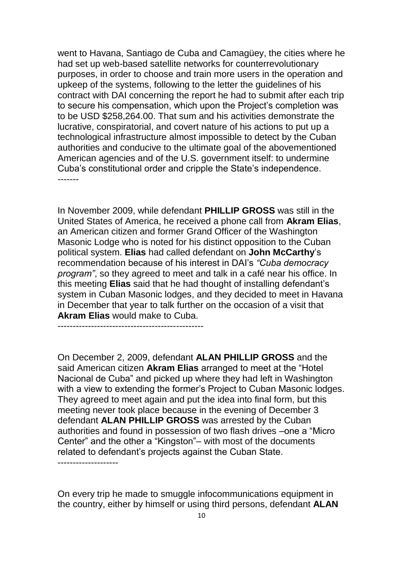went to Havana, Santiago de Cuba and Camagüey, the cities where he had set up web-based satellite networks for counterrevolutionary purposes, in order to choose and train more users in the operation and upkeep of the systems, following to the letter the guidelines of his contract with DAI concerning the report he had to submit after each trip to secure his compensation, which upon the Project's completion was to be USD \$258,264.00. That sum and his activities demonstrate the lucrative, conspiratorial, and covert nature of his actions to put up a technological infrastructure almost impossible to detect by the Cuban authorities and conducive to the ultimate goal of the abovementioned American agencies and of the U.S. government itself: to undermine Cuba's constitutional order and cripple the State's independence. -------

In November 2009, while defendant **PHILLIP GROSS** was still in the United States of America, he received a phone call from **Akram Elias**, an American citizen and former Grand Officer of the Washington Masonic Lodge who is noted for his distinct opposition to the Cuban political system. **Elias** had called defendant on **John McCarthy**'s recommendation because of his interest in DAI's *"Cuba democracy program"*, so they agreed to meet and talk in a café near his office. In this meeting **Elias** said that he had thought of installing defendant's system in Cuban Masonic lodges, and they decided to meet in Havana in December that year to talk further on the occasion of a visit that **Akram Elias** would make to Cuba.

------------------------------------------------

On December 2, 2009, defendant **ALAN PHILLIP GROSS** and the said American citizen **Akram Elias** arranged to meet at the "Hotel Nacional de Cuba" and picked up where they had left in Washington with a view to extending the former's Project to Cuban Masonic lodges. They agreed to meet again and put the idea into final form, but this meeting never took place because in the evening of December 3 defendant **ALAN PHILLIP GROSS** was arrested by the Cuban authorities and found in possession of two flash drives –one a "Micro Center" and the other a "Kingston"– with most of the documents related to defendant's projects against the Cuban State. --------------------

On every trip he made to smuggle infocommunications equipment in the country, either by himself or using third persons, defendant **ALAN**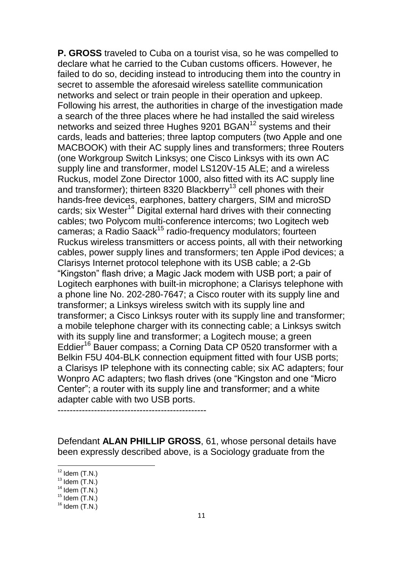**P. GROSS** traveled to Cuba on a tourist visa, so he was compelled to declare what he carried to the Cuban customs officers. However, he failed to do so, deciding instead to introducing them into the country in secret to assemble the aforesaid wireless satellite communication networks and select or train people in their operation and upkeep. Following his arrest, the authorities in charge of the investigation made a search of the three places where he had installed the said wireless networks and seized three Hughes 9201 BGAN<sup>12</sup> systems and their cards, leads and batteries; three laptop computers (two Apple and one MACBOOK) with their AC supply lines and transformers; three Routers (one Workgroup Switch Linksys; one Cisco Linksys with its own AC supply line and transformer, model LS120V-15 ALE; and a wireless Ruckus, model Zone Director 1000, also fitted with its AC supply line and transformer); thirteen 8320 Blackberry<sup>13</sup> cell phones with their hands-free devices, earphones, battery chargers, SIM and microSD cards; six Wester<sup>14</sup> Digital external hard drives with their connecting cables; two Polycom multi-conference intercoms; two Logitech web cameras; a Radio Saack<sup>15</sup> radio-frequency modulators; fourteen Ruckus wireless transmitters or access points, all with their networking cables, power supply lines and transformers; ten Apple iPod devices; a Clarisys Internet protocol telephone with its USB cable; a 2-Gb "Kingston" flash drive; a Magic Jack modem with USB port; a pair of Logitech earphones with built-in microphone; a Clarisys telephone with a phone line No. 202-280-7647; a Cisco router with its supply line and transformer; a Linksys wireless switch with its supply line and transformer; a Cisco Linksys router with its supply line and transformer; a mobile telephone charger with its connecting cable; a Linksys switch with its supply line and transformer; a Logitech mouse; a green Eddier<sup>16</sup> Bauer compass; a Corning Data CP 0520 transformer with a Belkin F5U 404-BLK connection equipment fitted with four USB ports; a Clarisys IP telephone with its connecting cable; six AC adapters; four Wonpro AC adapters; two flash drives (one "Kingston and one "Micro Center"; a router with its supply line and transformer; and a white adapter cable with two USB ports.

-------------------------------------------------

Defendant **ALAN PHILLIP GROSS**, 61, whose personal details have been expressly described above, is a Sociology graduate from the

 $12$  Idem (T.N.)

 $13$  Idem  $(T.N.)$ 

 $14$  Idem  $(T.N.)$ 

 $15$  Idem  $(T.N.)$ 

 $16$  Idem  $(T.N.)$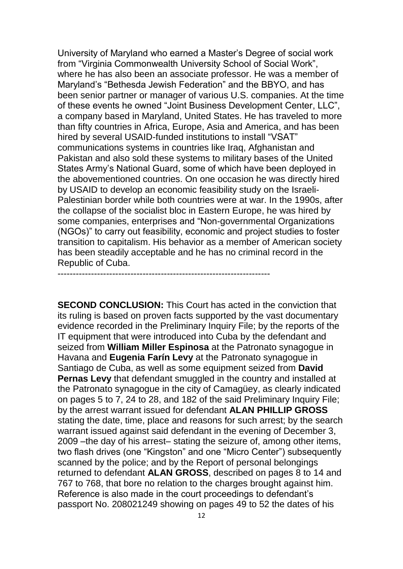University of Maryland who earned a Master's Degree of social work from "Virginia Commonwealth University School of Social Work", where he has also been an associate professor. He was a member of Maryland's "Bethesda Jewish Federation" and the BBYO, and has been senior partner or manager of various U.S. companies. At the time of these events he owned "Joint Business Development Center, LLC", a company based in Maryland, United States. He has traveled to more than fifty countries in Africa, Europe, Asia and America, and has been hired by several USAID-funded institutions to install "VSAT" communications systems in countries like Iraq, Afghanistan and Pakistan and also sold these systems to military bases of the United States Army's National Guard, some of which have been deployed in the abovementioned countries. On one occasion he was directly hired by USAID to develop an economic feasibility study on the Israeli-Palestinian border while both countries were at war. In the 1990s, after the collapse of the socialist bloc in Eastern Europe, he was hired by some companies, enterprises and "Non-governmental Organizations (NGOs)" to carry out feasibility, economic and project studies to foster transition to capitalism. His behavior as a member of American society has been steadily acceptable and he has no criminal record in the Republic of Cuba.

----------------------------------------------------------------------

**SECOND CONCLUSION:** This Court has acted in the conviction that its ruling is based on proven facts supported by the vast documentary evidence recorded in the Preliminary Inquiry File; by the reports of the IT equipment that were introduced into Cuba by the defendant and seized from **William Miller Espinosa** at the Patronato synagogue in Havana and **Eugenia Farín Levy** at the Patronato synagogue in Santiago de Cuba, as well as some equipment seized from **David Pernas Levy** that defendant smuggled in the country and installed at the Patronato synagogue in the city of Camagüey, as clearly indicated on pages 5 to 7, 24 to 28, and 182 of the said Preliminary Inquiry File; by the arrest warrant issued for defendant **ALAN PHILLIP GROSS** stating the date, time, place and reasons for such arrest; by the search warrant issued against said defendant in the evening of December 3, 2009 –the day of his arrest– stating the seizure of, among other items, two flash drives (one "Kingston" and one "Micro Center") subsequently scanned by the police; and by the Report of personal belongings returned to defendant **ALAN GROSS**, described on pages 8 to 14 and 767 to 768, that bore no relation to the charges brought against him. Reference is also made in the court proceedings to defendant's passport No. 208021249 showing on pages 49 to 52 the dates of his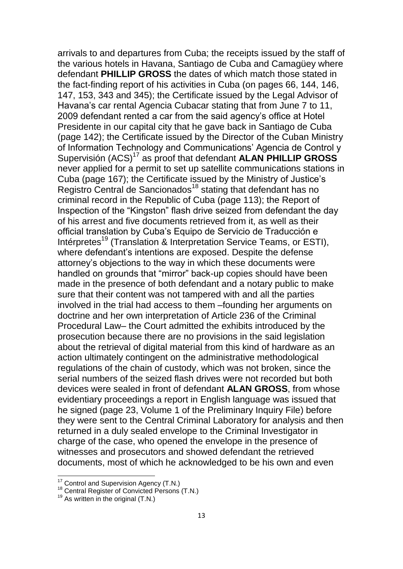arrivals to and departures from Cuba; the receipts issued by the staff of the various hotels in Havana, Santiago de Cuba and Camagüey where defendant **PHILLIP GROSS** the dates of which match those stated in the fact-finding report of his activities in Cuba (on pages 66, 144, 146, 147, 153, 343 and 345); the Certificate issued by the Legal Advisor of Havana's car rental Agencia Cubacar stating that from June 7 to 11, 2009 defendant rented a car from the said agency's office at Hotel Presidente in our capital city that he gave back in Santiago de Cuba (page 142); the Certificate issued by the Director of the Cuban Ministry of Information Technology and Communications' Agencia de Control y Supervisión (ACS)<sup>17</sup> as proof that defendant **ALAN PHILLIP GROSS**  never applied for a permit to set up satellite communications stations in Cuba (page 167); the Certificate issued by the Ministry of Justice's Registro Central de Sancionados<sup>18</sup> stating that defendant has no criminal record in the Republic of Cuba (page 113); the Report of Inspection of the "Kingston" flash drive seized from defendant the day of his arrest and five documents retrieved from it, as well as their official translation by Cuba's Equipo de Servicio de Traducción e Intérpretes<sup>19</sup> (Translation & Interpretation Service Teams, or ESTI), where defendant's intentions are exposed. Despite the defense attorney's objections to the way in which these documents were handled on grounds that "mirror" back-up copies should have been made in the presence of both defendant and a notary public to make sure that their content was not tampered with and all the parties involved in the trial had access to them –founding her arguments on doctrine and her own interpretation of Article 236 of the Criminal Procedural Law– the Court admitted the exhibits introduced by the prosecution because there are no provisions in the said legislation about the retrieval of digital material from this kind of hardware as an action ultimately contingent on the administrative methodological regulations of the chain of custody, which was not broken, since the serial numbers of the seized flash drives were not recorded but both devices were sealed in front of defendant **ALAN GROSS**, from whose evidentiary proceedings a report in English language was issued that he signed (page 23, Volume 1 of the Preliminary Inquiry File) before they were sent to the Central Criminal Laboratory for analysis and then returned in a duly sealed envelope to the Criminal Investigator in charge of the case, who opened the envelope in the presence of witnesses and prosecutors and showed defendant the retrieved documents, most of which he acknowledged to be his own and even

 $17$  Control and Supervision Agency (T.N.)

<sup>&</sup>lt;sup>18</sup> Central Register of Convicted Persons (T.N.)

 $19$  As written in the original (T.N.)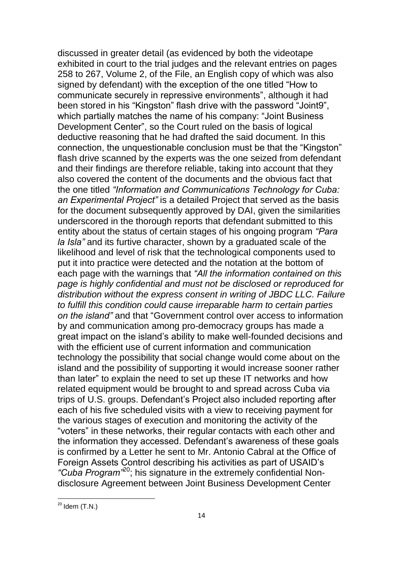discussed in greater detail (as evidenced by both the videotape exhibited in court to the trial judges and the relevant entries on pages 258 to 267, Volume 2, of the File, an English copy of which was also signed by defendant) with the exception of the one titled "How to communicate securely in repressive environments", although it had been stored in his "Kingston" flash drive with the password "Joint9", which partially matches the name of his company: "Joint Business Development Center", so the Court ruled on the basis of logical deductive reasoning that he had drafted the said document. In this connection, the unquestionable conclusion must be that the "Kingston" flash drive scanned by the experts was the one seized from defendant and their findings are therefore reliable, taking into account that they also covered the content of the documents and the obvious fact that the one titled *"Information and Communications Technology for Cuba: an Experimental Project"* is a detailed Project that served as the basis for the document subsequently approved by DAI, given the similarities underscored in the thorough reports that defendant submitted to this entity about the status of certain stages of his ongoing program *"Para la Isla"* and its furtive character, shown by a graduated scale of the likelihood and level of risk that the technological components used to put it into practice were detected and the notation at the bottom of each page with the warnings that *"All the information contained on this page is highly confidential and must not be disclosed or reproduced for distribution without the express consent in writing of JBDC LLC. Failure to fulfill this condition could cause irreparable harm to certain parties on the island"* and that "Government control over access to information by and communication among pro-democracy groups has made a great impact on the island's ability to make well-founded decisions and with the efficient use of current information and communication technology the possibility that social change would come about on the island and the possibility of supporting it would increase sooner rather than later" to explain the need to set up these IT networks and how related equipment would be brought to and spread across Cuba via trips of U.S. groups. Defendant's Project also included reporting after each of his five scheduled visits with a view to receiving payment for the various stages of execution and monitoring the activity of the "voters" in these networks, their regular contacts with each other and the information they accessed. Defendant's awareness of these goals is confirmed by a Letter he sent to Mr. Antonio Cabral at the Office of Foreign Assets Control describing his activities as part of USAID's *"Cuba Program"*<sup>20</sup>; his signature in the extremely confidential Nondisclosure Agreement between Joint Business Development Center

 $20$  Idem (T.N.)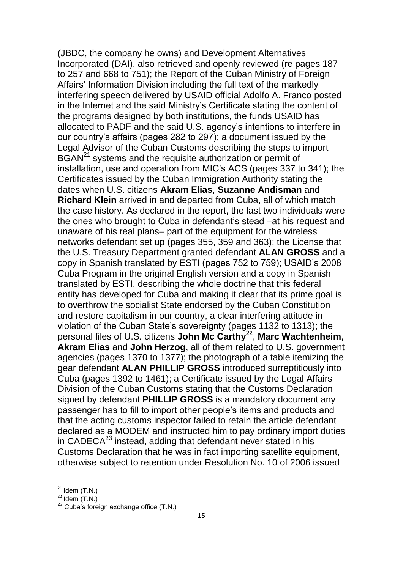(JBDC, the company he owns) and Development Alternatives Incorporated (DAI), also retrieved and openly reviewed (re pages 187 to 257 and 668 to 751); the Report of the Cuban Ministry of Foreign Affairs' Information Division including the full text of the markedly interfering speech delivered by USAID official Adolfo A. Franco posted in the Internet and the said Ministry's Certificate stating the content of the programs designed by both institutions, the funds USAID has allocated to PADF and the said U.S. agency's intentions to interfere in our country's affairs (pages 282 to 297); a document issued by the Legal Advisor of the Cuban Customs describing the steps to import BGAN<sup>21</sup> systems and the requisite authorization or permit of installation, use and operation from MIC's ACS (pages 337 to 341); the Certificates issued by the Cuban Immigration Authority stating the dates when U.S. citizens **Akram Elias**, **Suzanne Andisman** and **Richard Klein** arrived in and departed from Cuba, all of which match the case history. As declared in the report, the last two individuals were the ones who brought to Cuba in defendant's stead –at his request and unaware of his real plans– part of the equipment for the wireless networks defendant set up (pages 355, 359 and 363); the License that the U.S. Treasury Department granted defendant **ALAN GROSS** and a copy in Spanish translated by ESTI (pages 752 to 759); USAID's 2008 Cuba Program in the original English version and a copy in Spanish translated by ESTI, describing the whole doctrine that this federal entity has developed for Cuba and making it clear that its prime goal is to overthrow the socialist State endorsed by the Cuban Constitution and restore capitalism in our country, a clear interfering attitude in violation of the Cuban State's sovereignty (pages 1132 to 1313); the personal files of U.S. citizens **John Mc Carthy**<sup>22</sup> , **Marc Wachtenheim**, **Akram Elias** and **John Herzog**, all of them related to U.S. government agencies (pages 1370 to 1377); the photograph of a table itemizing the gear defendant **ALAN PHILLIP GROSS** introduced surreptitiously into Cuba (pages 1392 to 1461); a Certificate issued by the Legal Affairs Division of the Cuban Customs stating that the Customs Declaration signed by defendant **PHILLIP GROSS** is a mandatory document any passenger has to fill to import other people's items and products and that the acting customs inspector failed to retain the article defendant declared as a MODEM and instructed him to pay ordinary import duties in CADECA $^{23}$  instead, adding that defendant never stated in his Customs Declaration that he was in fact importing satellite equipment, otherwise subject to retention under Resolution No. 10 of 2006 issued

 $21$  Idem  $(T.N.)$ 

 $22$  Idem  $(T.N.)$ 

 $23$  Cuba's foreign exchange office (T.N.)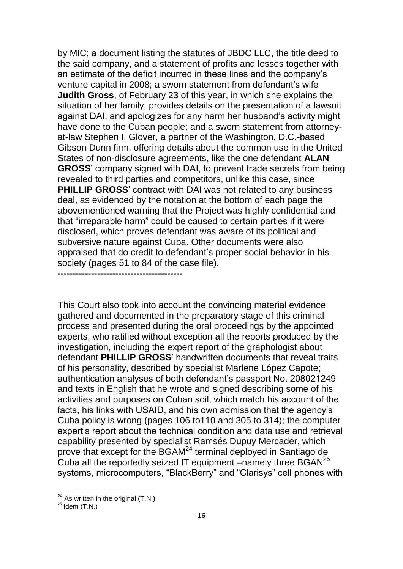by MIC; a document listing the statutes of JBDC LLC, the title deed to the said company, and a statement of profits and losses together with an estimate of the deficit incurred in these lines and the company's venture capital in 2008; a sworn statement from defendant's wife **Judith Gross**, of February 23 of this year, in which she explains the situation of her family, provides details on the presentation of a lawsuit against DAI, and apologizes for any harm her husband's activity might have done to the Cuban people; and a sworn statement from attorneyat-law Stephen I. Glover, a partner of the Washington, D.C.-based Gibson Dunn firm, offering details about the common use in the United States of non-disclosure agreements, like the one defendant **ALAN GROSS**' company signed with DAI, to prevent trade secrets from being revealed to third parties and competitors, unlike this case, since **PHILLIP GROSS**' contract with DAI was not related to any business deal, as evidenced by the notation at the bottom of each page the abovementioned warning that the Project was highly confidential and that "irreparable harm" could be caused to certain parties if it were disclosed, which proves defendant was aware of its political and subversive nature against Cuba. Other documents were also appraised that do credit to defendant's proper social behavior in his society (pages 51 to 84 of the case file).

This Court also took into account the convincing material evidence gathered and documented in the preparatory stage of this criminal process and presented during the oral proceedings by the appointed experts, who ratified without exception all the reports produced by the investigation, including the expert report of the graphologist about defendant **PHILLIP GROSS**' handwritten documents that reveal traits of his personality, described by specialist Marlene López Capote; authentication analyses of both defendant's passport No. 208021249 and texts in English that he wrote and signed describing some of his activities and purposes on Cuban soil, which match his account of the facts, his links with USAID, and his own admission that the agency's Cuba policy is wrong (pages 106 to110 and 305 to 314); the computer expert's report about the technical condition and data use and retrieval capability presented by specialist Ramsés Dupuy Mercader, which prove that except for the BGAM<sup>24</sup> terminal deployed in Santiago de Cuba all the reportedly seized IT equipment –namely three BGAN<sup>25</sup> systems, microcomputers, "BlackBerry" and "Clarisys" cell phones with

-----------------------------------------

 $24$  As written in the original (T.N.)

 $25$  Idem (T.N.)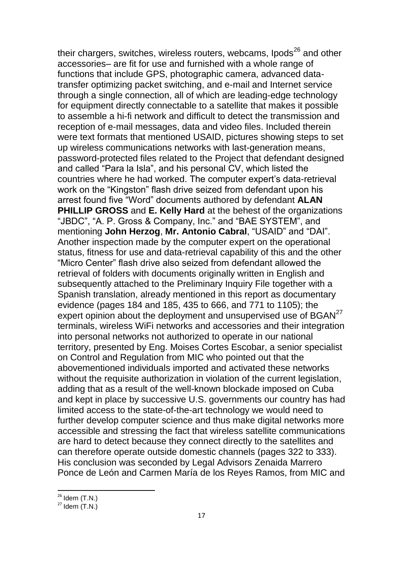their chargers, switches, wireless routers, webcams, Ipods $^{26}$  and other accessories– are fit for use and furnished with a whole range of functions that include GPS, photographic camera, advanced datatransfer optimizing packet switching, and e-mail and Internet service through a single connection, all of which are leading-edge technology for equipment directly connectable to a satellite that makes it possible to assemble a hi-fi network and difficult to detect the transmission and reception of e-mail messages, data and video files. Included therein were text formats that mentioned USAID, pictures showing steps to set up wireless communications networks with last-generation means, password-protected files related to the Project that defendant designed and called "Para la Isla", and his personal CV, which listed the countries where he had worked. The computer expert's data-retrieval work on the "Kingston" flash drive seized from defendant upon his arrest found five "Word" documents authored by defendant **ALAN PHILLIP GROSS** and **E. Kelly Hard** at the behest of the organizations "JBDC", "A. P. Gross & Company, Inc." and "BAE SYSTEM", and mentioning **John Herzog**, **Mr. Antonio Cabral**, "USAID" and "DAI". Another inspection made by the computer expert on the operational status, fitness for use and data-retrieval capability of this and the other "Micro Center" flash drive also seized from defendant allowed the retrieval of folders with documents originally written in English and subsequently attached to the Preliminary Inquiry File together with a Spanish translation, already mentioned in this report as documentary evidence (pages 184 and 185, 435 to 666, and 771 to 1105); the expert opinion about the deployment and unsupervised use of BGAN<sup>27</sup> terminals, wireless WiFi networks and accessories and their integration into personal networks not authorized to operate in our national territory, presented by Eng. Moises Cortes Escobar, a senior specialist on Control and Regulation from MIC who pointed out that the abovementioned individuals imported and activated these networks without the requisite authorization in violation of the current legislation, adding that as a result of the well-known blockade imposed on Cuba and kept in place by successive U.S. governments our country has had limited access to the state-of-the-art technology we would need to further develop computer science and thus make digital networks more accessible and stressing the fact that wireless satellite communications are hard to detect because they connect directly to the satellites and can therefore operate outside domestic channels (pages 322 to 333). His conclusion was seconded by Legal Advisors Zenaida Marrero Ponce de León and Carmen María de los Reyes Ramos, from MIC and

 $26$  Idem (T.N.)

 $27$  Idem  $(T.N.)$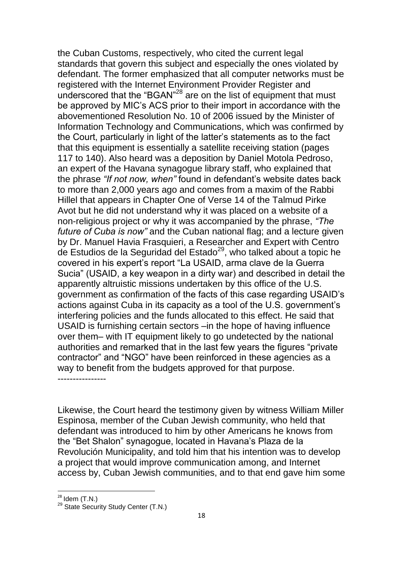the Cuban Customs, respectively, who cited the current legal standards that govern this subject and especially the ones violated by defendant. The former emphasized that all computer networks must be registered with the Internet Environment Provider Register and underscored that the "BGAN"<sup>28</sup> are on the list of equipment that must be approved by MIC's ACS prior to their import in accordance with the abovementioned Resolution No. 10 of 2006 issued by the Minister of Information Technology and Communications, which was confirmed by the Court, particularly in light of the latter's statements as to the fact that this equipment is essentially a satellite receiving station (pages 117 to 140). Also heard was a deposition by Daniel Motola Pedroso, an expert of the Havana synagogue library staff, who explained that the phrase *"If not now, when"* found in defendant's website dates back to more than 2,000 years ago and comes from a maxim of the Rabbi Hillel that appears in Chapter One of Verse 14 of the Talmud Pirke Avot but he did not understand why it was placed on a website of a non-religious project or why it was accompanied by the phrase, *"The future of Cuba is now"* and the Cuban national flag; and a lecture given by Dr. Manuel Havia Frasquieri, a Researcher and Expert with Centro de Estudios de la Seguridad del Estado<sup>29</sup>, who talked about a topic he covered in his expert's report "La USAID, arma clave de la Guerra Sucia" (USAID, a key weapon in a dirty war) and described in detail the apparently altruistic missions undertaken by this office of the U.S. government as confirmation of the facts of this case regarding USAID's actions against Cuba in its capacity as a tool of the U.S. government's interfering policies and the funds allocated to this effect. He said that USAID is furnishing certain sectors –in the hope of having influence over them– with IT equipment likely to go undetected by the national authorities and remarked that in the last few years the figures "private contractor" and "NGO" have been reinforced in these agencies as a way to benefit from the budgets approved for that purpose.

Likewise, the Court heard the testimony given by witness William Miller Espinosa, member of the Cuban Jewish community, who held that defendant was introduced to him by other Americans he knows from the "Bet Shalon" synagogue, located in Havana's Plaza de la Revolución Municipality, and told him that his intention was to develop a project that would improve communication among, and Internet access by, Cuban Jewish communities, and to that end gave him some

**.** 

----------------

 $28$  Idem (T.N.)

<sup>&</sup>lt;sup>29</sup> State Security Study Center (T.N.)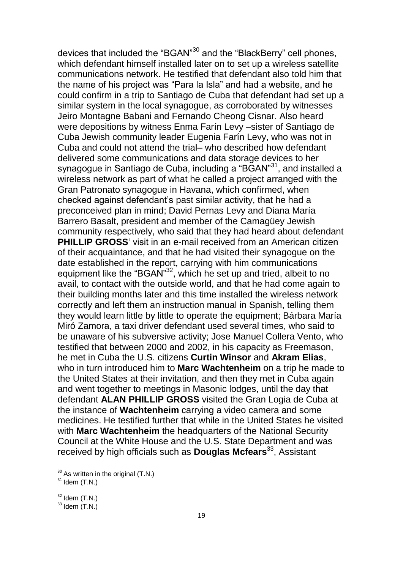devices that included the "BGAN"<sup>30</sup> and the "BlackBerry" cell phones, which defendant himself installed later on to set up a wireless satellite communications network. He testified that defendant also told him that the name of his project was "Para la Isla" and had a website, and he could confirm in a trip to Santiago de Cuba that defendant had set up a similar system in the local synagogue, as corroborated by witnesses Jeiro Montagne Babani and Fernando Cheong Cisnar. Also heard were depositions by witness Enma Farín Levy –sister of Santiago de Cuba Jewish community leader Eugenia Farín Levy, who was not in Cuba and could not attend the trial– who described how defendant delivered some communications and data storage devices to her synagogue in Santiago de Cuba, including a "BGAN"<sup>31</sup>, and installed a wireless network as part of what he called a project arranged with the Gran Patronato synagogue in Havana, which confirmed, when checked against defendant's past similar activity, that he had a preconceived plan in mind; David Pernas Levy and Diana María Barrero Basalt, president and member of the Camagüey Jewish community respectively, who said that they had heard about defendant **PHILLIP GROSS**' visit in an e-mail received from an American citizen of their acquaintance, and that he had visited their synagogue on the date established in the report, carrying with him communications equipment like the "BGAN"<sup>32</sup>, which he set up and tried, albeit to no avail, to contact with the outside world, and that he had come again to their building months later and this time installed the wireless network correctly and left them an instruction manual in Spanish, telling them they would learn little by little to operate the equipment; Bárbara María Miró Zamora, a taxi driver defendant used several times, who said to be unaware of his subversive activity; Jose Manuel Collera Vento, who testified that between 2000 and 2002, in his capacity as Freemason, he met in Cuba the U.S. citizens **Curtin Winsor** and **Akram Elias**, who in turn introduced him to **Marc Wachtenheim** on a trip he made to the United States at their invitation, and then they met in Cuba again and went together to meetings in Masonic lodges, until the day that defendant **ALAN PHILLIP GROSS** visited the Gran Logia de Cuba at the instance of **Wachtenheim** carrying a video camera and some medicines. He testified further that while in the United States he visited with **Marc Wachtenheim** the headquarters of the National Security Council at the White House and the U.S. State Department and was received by high officials such as **Douglas Mcfears**<sup>33</sup>, Assistant

 $30$  As written in the original (T.N.)

 $31$  Idem  $(T.N.)$ 

 $32$  Idem  $(T.N.)$ 

 $33$  Idem  $(T.N.)$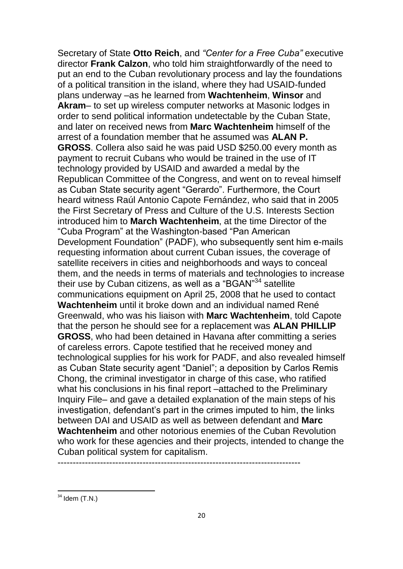Secretary of State **Otto Reich**, and *"Center for a Free Cuba"* executive director **Frank Calzon**, who told him straightforwardly of the need to put an end to the Cuban revolutionary process and lay the foundations of a political transition in the island, where they had USAID-funded plans underway –as he learned from **Wachtenheim**, **Winsor** and **Akram**– to set up wireless computer networks at Masonic lodges in order to send political information undetectable by the Cuban State, and later on received news from **Marc Wachtenheim** himself of the arrest of a foundation member that he assumed was **ALAN P. GROSS**. Collera also said he was paid USD \$250.00 every month as payment to recruit Cubans who would be trained in the use of IT technology provided by USAID and awarded a medal by the Republican Committee of the Congress, and went on to reveal himself as Cuban State security agent "Gerardo". Furthermore, the Court heard witness Raúl Antonio Capote Fernández, who said that in 2005 the First Secretary of Press and Culture of the U.S. Interests Section introduced him to **March Wachtenheim**, at the time Director of the "Cuba Program" at the Washington-based "Pan American Development Foundation" (PADF), who subsequently sent him e-mails requesting information about current Cuban issues, the coverage of satellite receivers in cities and neighborhoods and ways to conceal them, and the needs in terms of materials and technologies to increase their use by Cuban citizens, as well as a "BGAN"<sup>34</sup> satellite communications equipment on April 25, 2008 that he used to contact **Wachtenheim** until it broke down and an individual named René Greenwald, who was his liaison with **Marc Wachtenheim**, told Capote that the person he should see for a replacement was **ALAN PHILLIP GROSS**, who had been detained in Havana after committing a series of careless errors. Capote testified that he received money and technological supplies for his work for PADF, and also revealed himself as Cuban State security agent "Daniel"; a deposition by Carlos Remis Chong, the criminal investigator in charge of this case, who ratified what his conclusions in his final report –attached to the Preliminary Inquiry File– and gave a detailed explanation of the main steps of his investigation, defendant's part in the crimes imputed to him, the links between DAI and USAID as well as between defendant and **Marc Wachtenheim** and other notorious enemies of the Cuban Revolution who work for these agencies and their projects, intended to change the Cuban political system for capitalism.

--------------------------------------------------------------------------------

 $34$  Idem (T.N.)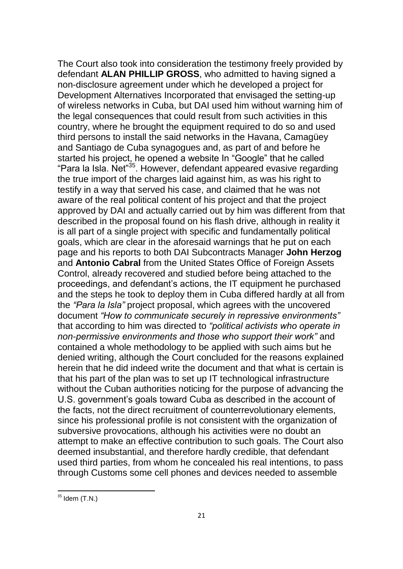The Court also took into consideration the testimony freely provided by defendant **ALAN PHILLIP GROSS**, who admitted to having signed a non-disclosure agreement under which he developed a project for Development Alternatives Incorporated that envisaged the setting-up of wireless networks in Cuba, but DAI used him without warning him of the legal consequences that could result from such activities in this country, where he brought the equipment required to do so and used third persons to install the said networks in the Havana, Camagüey and Santiago de Cuba synagogues and, as part of and before he started his project, he opened a website In "Google" that he called "Para la Isla. Net"<sup>35</sup>. However, defendant appeared evasive regarding the true import of the charges laid against him, as was his right to testify in a way that served his case, and claimed that he was not aware of the real political content of his project and that the project approved by DAI and actually carried out by him was different from that described in the proposal found on his flash drive, although in reality it is all part of a single project with specific and fundamentally political goals, which are clear in the aforesaid warnings that he put on each page and his reports to both DAI Subcontracts Manager **John Herzog** and **Antonio Cabral** from the United States Office of Foreign Assets Control, already recovered and studied before being attached to the proceedings, and defendant's actions, the IT equipment he purchased and the steps he took to deploy them in Cuba differed hardly at all from the *"Para la Isla"* project proposal, which agrees with the uncovered document *"How to communicate securely in repressive environments"* that according to him was directed to *"political activists who operate in non-permissive environments and those who support their work"* and contained a whole methodology to be applied with such aims but he denied writing, although the Court concluded for the reasons explained herein that he did indeed write the document and that what is certain is that his part of the plan was to set up IT technological infrastructure without the Cuban authorities noticing for the purpose of advancing the U.S. government's goals toward Cuba as described in the account of the facts, not the direct recruitment of counterrevolutionary elements, since his professional profile is not consistent with the organization of subversive provocations, although his activities were no doubt an attempt to make an effective contribution to such goals. The Court also deemed insubstantial, and therefore hardly credible, that defendant used third parties, from whom he concealed his real intentions, to pass through Customs some cell phones and devices needed to assemble

 $35$  Idem (T.N.)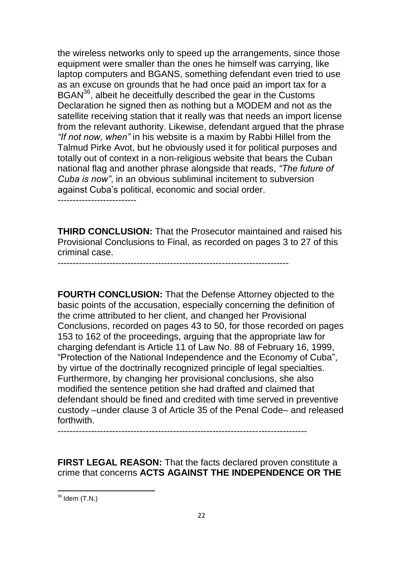the wireless networks only to speed up the arrangements, since those equipment were smaller than the ones he himself was carrying, like laptop computers and BGANS, something defendant even tried to use as an excuse on grounds that he had once paid an import tax for a BGAN<sup>36</sup>, albeit he deceitfully described the gear in the Customs Declaration he signed then as nothing but a MODEM and not as the satellite receiving station that it really was that needs an import license from the relevant authority. Likewise, defendant argued that the phrase *"If not now, when"* in his website is a maxim by Rabbi Hillel from the Talmud Pirke Avot, but he obviously used it for political purposes and totally out of context in a non-religious website that bears the Cuban national flag and another phrase alongside that reads, *"The future of Cuba is now"*, in an obvious subliminal incitement to subversion against Cuba's political, economic and social order.

--------------------------

**THIRD CONCLUSION:** That the Prosecutor maintained and raised his Provisional Conclusions to Final, as recorded on pages 3 to 27 of this criminal case.

----------------------------------------------------------------------------

**FOURTH CONCLUSION:** That the Defense Attorney objected to the basic points of the accusation, especially concerning the definition of the crime attributed to her client, and changed her Provisional Conclusions, recorded on pages 43 to 50, for those recorded on pages 153 to 162 of the proceedings, arguing that the appropriate law for charging defendant is Article 11 of Law No. 88 of February 16, 1999, "Protection of the National Independence and the Economy of Cuba", by virtue of the doctrinally recognized principle of legal specialties. Furthermore, by changing her provisional conclusions, she also modified the sentence petition she had drafted and claimed that defendant should be fined and credited with time served in preventive custody –under clause 3 of Article 35 of the Penal Code– and released forthwith.

----------------------------------------------------------------------------------

**FIRST LEGAL REASON:** That the facts declared proven constitute a crime that concerns **ACTS AGAINST THE INDEPENDENCE OR THE** 

 $36$  Idem (T.N.)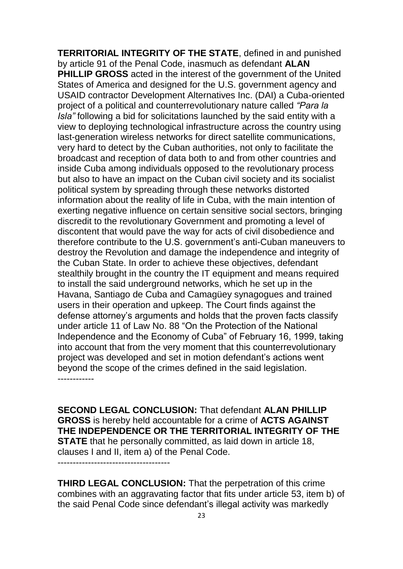**TERRITORIAL INTEGRITY OF THE STATE**, defined in and punished by article 91 of the Penal Code, inasmuch as defendant **ALAN PHILLIP GROSS** acted in the interest of the government of the United States of America and designed for the U.S. government agency and USAID contractor Development Alternatives Inc. (DAI) a Cuba-oriented project of a political and counterrevolutionary nature called *"Para la Isla"* following a bid for solicitations launched by the said entity with a view to deploying technological infrastructure across the country using last-generation wireless networks for direct satellite communications, very hard to detect by the Cuban authorities, not only to facilitate the broadcast and reception of data both to and from other countries and inside Cuba among individuals opposed to the revolutionary process but also to have an impact on the Cuban civil society and its socialist political system by spreading through these networks distorted information about the reality of life in Cuba, with the main intention of exerting negative influence on certain sensitive social sectors, bringing discredit to the revolutionary Government and promoting a level of discontent that would pave the way for acts of civil disobedience and therefore contribute to the U.S. government's anti-Cuban maneuvers to destroy the Revolution and damage the independence and integrity of the Cuban State. In order to achieve these objectives, defendant stealthily brought in the country the IT equipment and means required to install the said underground networks, which he set up in the Havana, Santiago de Cuba and Camagüey synagogues and trained users in their operation and upkeep. The Court finds against the defense attorney's arguments and holds that the proven facts classify under article 11 of Law No. 88 "On the Protection of the National Independence and the Economy of Cuba" of February 16, 1999, taking into account that from the very moment that this counterrevolutionary project was developed and set in motion defendant's actions went beyond the scope of the crimes defined in the said legislation. ------------

**SECOND LEGAL CONCLUSION:** That defendant **ALAN PHILLIP GROSS** is hereby held accountable for a crime of **ACTS AGAINST THE INDEPENDENCE OR THE TERRITORIAL INTEGRITY OF THE STATE** that he personally committed, as laid down in article 18, clauses I and II, item a) of the Penal Code.

-------------------------------------

**THIRD LEGAL CONCLUSION:** That the perpetration of this crime combines with an aggravating factor that fits under article 53, item b) of the said Penal Code since defendant's illegal activity was markedly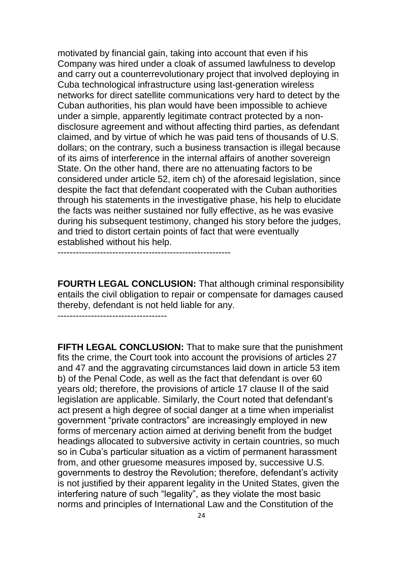motivated by financial gain, taking into account that even if his Company was hired under a cloak of assumed lawfulness to develop and carry out a counterrevolutionary project that involved deploying in Cuba technological infrastructure using last-generation wireless networks for direct satellite communications very hard to detect by the Cuban authorities, his plan would have been impossible to achieve under a simple, apparently legitimate contract protected by a nondisclosure agreement and without affecting third parties, as defendant claimed, and by virtue of which he was paid tens of thousands of U.S. dollars; on the contrary, such a business transaction is illegal because of its aims of interference in the internal affairs of another sovereign State. On the other hand, there are no attenuating factors to be considered under article 52, item ch) of the aforesaid legislation, since despite the fact that defendant cooperated with the Cuban authorities through his statements in the investigative phase, his help to elucidate the facts was neither sustained nor fully effective, as he was evasive during his subsequent testimony, changed his story before the judges, and tried to distort certain points of fact that were eventually established without his help.

**FOURTH LEGAL CONCLUSION:** That although criminal responsibility entails the civil obligation to repair or compensate for damages caused thereby, defendant is not held liable for any.

------------------------------------

---------------------------------------------------------

**FIFTH LEGAL CONCLUSION:** That to make sure that the punishment fits the crime, the Court took into account the provisions of articles 27 and 47 and the aggravating circumstances laid down in article 53 item b) of the Penal Code, as well as the fact that defendant is over 60 years old; therefore, the provisions of article 17 clause II of the said legislation are applicable. Similarly, the Court noted that defendant's act present a high degree of social danger at a time when imperialist government "private contractors" are increasingly employed in new forms of mercenary action aimed at deriving benefit from the budget headings allocated to subversive activity in certain countries, so much so in Cuba's particular situation as a victim of permanent harassment from, and other gruesome measures imposed by, successive U.S. governments to destroy the Revolution; therefore, defendant's activity is not justified by their apparent legality in the United States, given the interfering nature of such "legality", as they violate the most basic norms and principles of International Law and the Constitution of the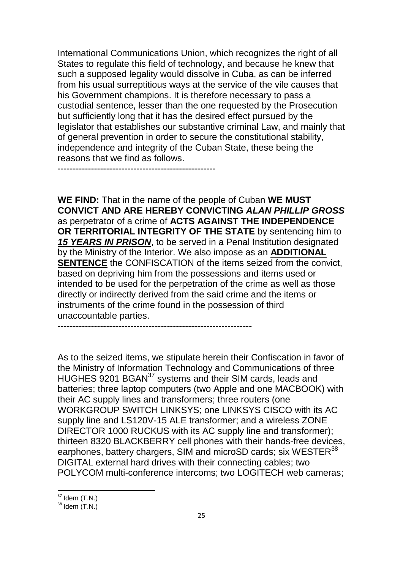International Communications Union, which recognizes the right of all States to regulate this field of technology, and because he knew that such a supposed legality would dissolve in Cuba, as can be inferred from his usual surreptitious ways at the service of the vile causes that his Government champions. It is therefore necessary to pass a custodial sentence, lesser than the one requested by the Prosecution but sufficiently long that it has the desired effect pursued by the legislator that establishes our substantive criminal Law, and mainly that of general prevention in order to secure the constitutional stability, independence and integrity of the Cuban State, these being the reasons that we find as follows.

----------------------------------------------------

**WE FIND:** That in the name of the people of Cuban **WE MUST CONVICT AND ARE HEREBY CONVICTING** *ALAN PHILLIP GROSS* as perpetrator of a crime of **ACTS AGAINST THE INDEPENDENCE OR TERRITORIAL INTEGRITY OF THE STATE** by sentencing him to *15 YEARS IN PRISON*, to be served in a Penal Institution designated by the Ministry of the Interior. We also impose as an **ADDITIONAL SENTENCE** the CONFISCATION of the items seized from the convict, based on depriving him from the possessions and items used or intended to be used for the perpetration of the crime as well as those directly or indirectly derived from the said crime and the items or instruments of the crime found in the possession of third unaccountable parties.

----------------------------------------------------------------

As to the seized items, we stipulate herein their Confiscation in favor of the Ministry of Information Technology and Communications of three HUGHES 9201 BGAN<sup>37</sup> systems and their SIM cards, leads and batteries; three laptop computers (two Apple and one MACBOOK) with their AC supply lines and transformers; three routers (one WORKGROUP SWITCH LINKSYS; one LINKSYS CISCO with its AC supply line and LS120V-15 ALE transformer; and a wireless ZONE DIRECTOR 1000 RUCKUS with its AC supply line and transformer); thirteen 8320 BLACKBERRY cell phones with their hands-free devices, earphones, battery chargers, SIM and microSD cards; six WESTER<sup>38</sup> DIGITAL external hard drives with their connecting cables; two POLYCOM multi-conference intercoms; two LOGITECH web cameras;

 $37$  Idem (T.N.)

 $38$  Idem  $(T.N.)$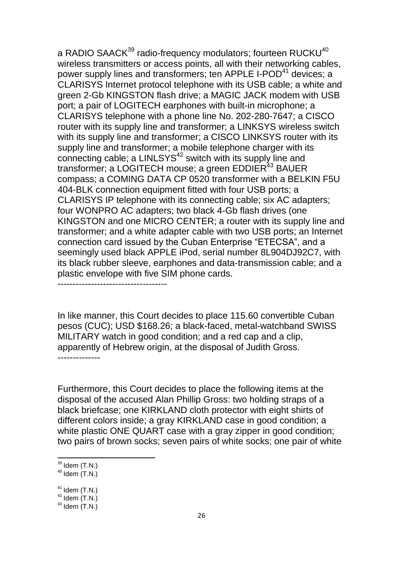a RADIO SAACK<sup>39</sup> radio-frequency modulators; fourteen RUCKU<sup>40</sup> wireless transmitters or access points, all with their networking cables, power supply lines and transformers; ten APPLE I-POD<sup>41</sup> devices; a CLARISYS Internet protocol telephone with its USB cable; a white and green 2-Gb KINGSTON flash drive; a MAGIC JACK modem with USB port; a pair of LOGITECH earphones with built-in microphone; a CLARISYS telephone with a phone line No. 202-280-7647; a CISCO router with its supply line and transformer; a LINKSYS wireless switch with its supply line and transformer; a CISCO LINKSYS router with its supply line and transformer; a mobile telephone charger with its connecting cable; a LINLSYS $42$  switch with its supply line and transformer; a LOGITECH mouse; a green EDDIER<sup>43</sup> BAUER compass; a COMING DATA CP 0520 transformer with a BELKIN F5U 404-BLK connection equipment fitted with four USB ports; a CLARISYS IP telephone with its connecting cable; six AC adapters; four WONPRO AC adapters; two black 4-Gb flash drives (one KINGSTON and one MICRO CENTER; a router with its supply line and transformer; and a white adapter cable with two USB ports; an Internet connection card issued by the Cuban Enterprise "ETECSA", and a seemingly used black APPLE iPod, serial number 8L904DJ92C7, with its black rubber sleeve, earphones and data-transmission cable; and a plastic envelope with five SIM phone cards.

------------------------------------

In like manner, this Court decides to place 115.60 convertible Cuban pesos (CUC); USD \$168.26; a black-faced, metal-watchband SWISS MILITARY watch in good condition; and a red cap and a clip, apparently of Hebrew origin, at the disposal of Judith Gross. --------------

Furthermore, this Court decides to place the following items at the disposal of the accused Alan Phillip Gross: two holding straps of a black briefcase; one KIRKLAND cloth protector with eight shirts of different colors inside; a gray KIRKLAND case in good condition; a white plastic ONE QUART case with a gray zipper in good condition; two pairs of brown socks; seven pairs of white socks; one pair of white

 $39$  Idem (T.N.)

 $40$  Idem  $(T.N.)$ 

 $41$  Idem  $(T.N.)$ 

 $42$  Idem  $(T.N.)$ 

 $43$  Idem  $(T.N.)$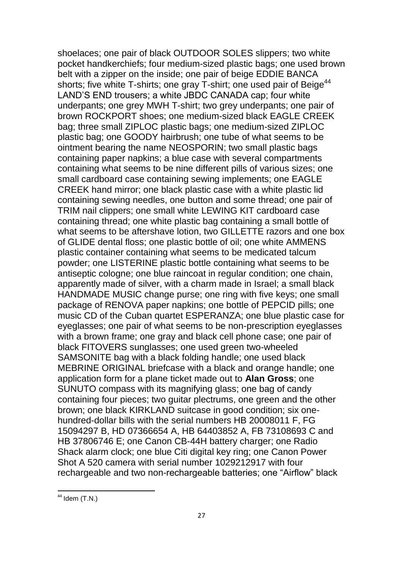shoelaces; one pair of black OUTDOOR SOLES slippers; two white pocket handkerchiefs; four medium-sized plastic bags; one used brown belt with a zipper on the inside; one pair of beige EDDIE BANCA shorts; five white T-shirts; one gray T-shirt; one used pair of Beige<sup>44</sup> LAND'S END trousers; a white JBDC CANADA cap; four white underpants; one grey MWH T-shirt; two grey underpants; one pair of brown ROCKPORT shoes; one medium-sized black EAGLE CREEK bag; three small ZIPLOC plastic bags; one medium-sized ZIPLOC plastic bag; one GOODY hairbrush; one tube of what seems to be ointment bearing the name NEOSPORIN; two small plastic bags containing paper napkins; a blue case with several compartments containing what seems to be nine different pills of various sizes; one small cardboard case containing sewing implements; one EAGLE CREEK hand mirror; one black plastic case with a white plastic lid containing sewing needles, one button and some thread; one pair of TRIM nail clippers; one small white LEWING KIT cardboard case containing thread; one white plastic bag containing a small bottle of what seems to be aftershave lotion, two GILLETTE razors and one box of GLIDE dental floss; one plastic bottle of oil; one white AMMENS plastic container containing what seems to be medicated talcum powder; one LISTERINE plastic bottle containing what seems to be antiseptic cologne; one blue raincoat in regular condition; one chain, apparently made of silver, with a charm made in Israel; a small black HANDMADE MUSIC change purse; one ring with five keys; one small package of RENOVA paper napkins; one bottle of PEPCID pills; one music CD of the Cuban quartet ESPERANZA; one blue plastic case for eyeglasses; one pair of what seems to be non-prescription eyeglasses with a brown frame; one gray and black cell phone case; one pair of black FITOVERS sunglasses; one used green two-wheeled SAMSONITE bag with a black folding handle; one used black MEBRINE ORIGINAL briefcase with a black and orange handle; one application form for a plane ticket made out to **Alan Gross**; one SUNUTO compass with its magnifying glass; one bag of candy containing four pieces; two guitar plectrums, one green and the other brown; one black KIRKLAND suitcase in good condition; six onehundred-dollar bills with the serial numbers HB 20008011 F, FG 15094297 B, HD 07366654 A, HB 64403852 A, FB 73108693 C and HB 37806746 E; one Canon CB-44H battery charger; one Radio Shack alarm clock; one blue Citi digital key ring; one Canon Power Shot A 520 camera with serial number 1029212917 with four rechargeable and two non-rechargeable batteries; one "Airflow" black

<sup>1</sup>  $44$  Idem (T.N.)